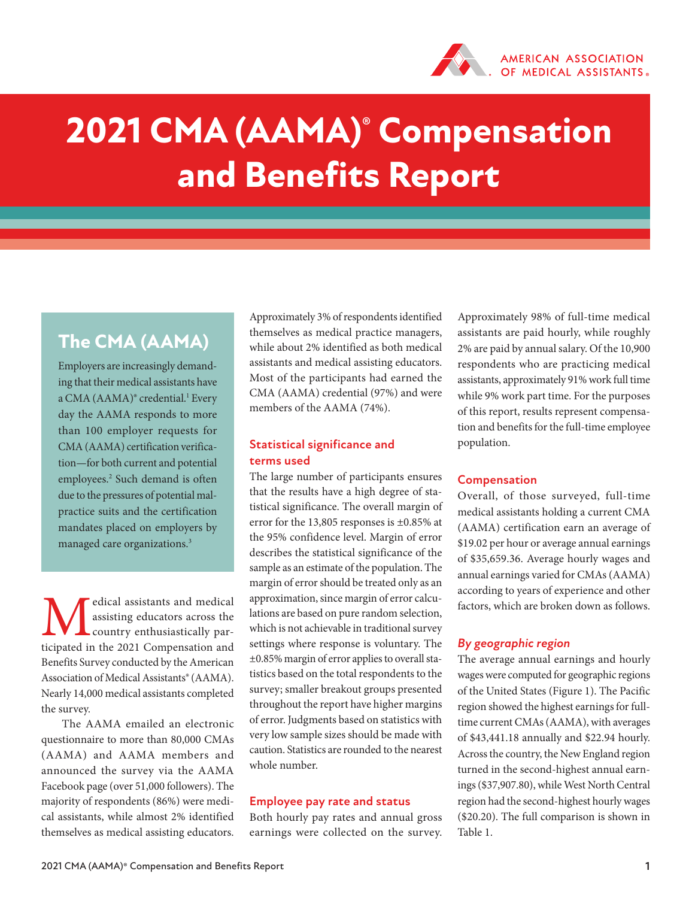

# **2021 CMA (AAMA)® Compensation and Benefits Report**

# **The CMA (AAMA)**

Employers are increasingly demanding that their medical assistants have a CMA (AAMA)<sup>®</sup> credential.<sup>1</sup> Every day the AAMA responds to more than 100 employer requests for CMA (AAMA) certification verification—for both current and potential employees.2 Such demand is often due to the pressures of potential malpractice suits and the certification mandates placed on employers by managed care organizations.3

**M**edical assistants and medical assisting educators across the country enthusiastically participated in the 2021 Compensation and assisting educators across the country enthusiastically par-Benefits Survey conducted by the American Association of Medical Assistants® (AAMA). Nearly 14,000 medical assistants completed the survey.

The AAMA emailed an electronic questionnaire to more than 80,000 CMAs (AAMA) and AAMA members and announced the survey via the AAMA Facebook page (over 51,000 followers). The majority of respondents (86%) were medical assistants, while almost 2% identified themselves as medical assisting educators.

Approximately 3% of respondents identified themselves as medical practice managers, while about 2% identified as both medical assistants and medical assisting educators. Most of the participants had earned the CMA (AAMA) credential (97%) and were members of the AAMA (74%).

## **Statistical significance and terms used**

The large number of participants ensures that the results have a high degree of statistical significance. The overall margin of error for the 13,805 responses is ±0.85% at the 95% confidence level. Margin of error describes the statistical significance of the sample as an estimate of the population. The margin of error should be treated only as an approximation, since margin of error calculations are based on pure random selection, which is not achievable in traditional survey settings where response is voluntary. The ±0.85% margin of error applies to overall statistics based on the total respondents to the survey; smaller breakout groups presented throughout the report have higher margins of error. Judgments based on statistics with very low sample sizes should be made with caution. Statistics are rounded to the nearest whole number.

#### **Employee pay rate and status**

Both hourly pay rates and annual gross earnings were collected on the survey.

Approximately 98% of full-time medical assistants are paid hourly, while roughly 2% are paid by annual salary. Of the 10,900 respondents who are practicing medical assistants, approximately 91% work full time while 9% work part time. For the purposes of this report, results represent compensation and benefits for the full-time employee population.

#### **Compensation**

Overall, of those surveyed, full-time medical assistants holding a current CMA (AAMA) certification earn an average of \$19.02 per hour or average annual earnings of \$35,659.36. Average hourly wages and annual earnings varied for CMAs (AAMA) according to years of experience and other factors, which are broken down as follows.

## *By geographic region*

The average annual earnings and hourly wages were computed for geographic regions of the United States (Figure 1). The Pacific region showed the highest earnings for fulltime current CMAs (AAMA), with averages of \$43,441.18 annually and \$22.94 hourly. Across the country, the New England region turned in the second-highest annual earnings (\$37,907.80), while West North Central region had the second-highest hourly wages (\$20.20). The full comparison is shown in Table 1.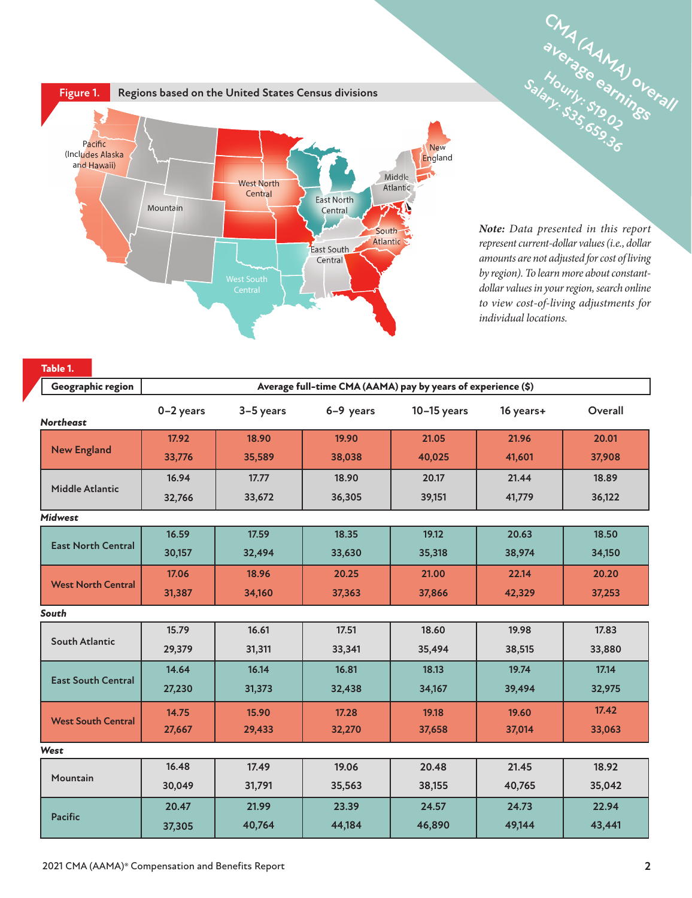

*Note: Data presented in this report represent current-dollar values (i.e., dollar amounts are not adjusted for cost of living by region). To learn more about constantdollar values in your region, search online to view cost-of-living adjustments for individual locations.*

**Free Section**<br>Rue & Stander<br>Lue Book

| Table 1.                  |                                                              |           |           |               |           |         |  |
|---------------------------|--------------------------------------------------------------|-----------|-----------|---------------|-----------|---------|--|
| Geographic region         | Average full-time CMA (AAMA) pay by years of experience (\$) |           |           |               |           |         |  |
| <b>Northeast</b>          | $0-2$ years                                                  | 3-5 years | 6-9 years | $10-15$ years | 16 years+ | Overall |  |
| <b>New England</b>        | 17.92                                                        | 18.90     | 19.90     | 21.05         | 21.96     | 20.01   |  |
|                           | 33,776                                                       | 35,589    | 38,038    | 40,025        | 41,601    | 37,908  |  |
|                           | 16.94                                                        | 17.77     | 18.90     | 20.17         | 21.44     | 18.89   |  |
| <b>Middle Atlantic</b>    | 32,766                                                       | 33,672    | 36,305    | 39,151        | 41,779    | 36,122  |  |
| Midwest                   |                                                              |           |           |               |           |         |  |
|                           | 16.59                                                        | 17.59     | 18.35     | 19.12         | 20.63     | 18.50   |  |
| <b>East North Central</b> | 30,157                                                       | 32,494    | 33,630    | 35,318        | 38,974    | 34,150  |  |
|                           | 17.06                                                        | 18.96     | 20.25     | 21.00         | 22.14     | 20.20   |  |
| <b>West North Central</b> | 31,387                                                       | 34,160    | 37,363    | 37,866        | 42,329    | 37,253  |  |
| South                     |                                                              |           |           |               |           |         |  |
|                           | 15.79                                                        | 16.61     | 17.51     | 18.60         | 19.98     | 17.83   |  |
| <b>South Atlantic</b>     | 29,379                                                       | 31,311    | 33,341    | 35,494        | 38,515    | 33,880  |  |
| <b>East South Central</b> | 14.64                                                        | 16.14     | 16.81     | 18.13         | 19.74     | 17.14   |  |
|                           | 27,230                                                       | 31,373    | 32,438    | 34,167        | 39,494    | 32,975  |  |
| <b>West South Central</b> | 14.75                                                        | 15.90     | 17.28     | 19.18         | 19.60     | 17.42   |  |
|                           | 27,667                                                       | 29,433    | 32,270    | 37,658        | 37,014    | 33,063  |  |
| West                      |                                                              |           |           |               |           |         |  |
|                           | 16.48                                                        | 17.49     | 19.06     | 20.48         | 21.45     | 18.92   |  |
| Mountain                  | 30,049                                                       | 31,791    | 35,563    | 38,155        | 40,765    | 35,042  |  |
| <b>Pacific</b>            | 20.47                                                        | 21.99     | 23.39     | 24.57         | 24.73     | 22.94   |  |
|                           | 37,305                                                       | 40,764    | 44,184    | 46,890        | 49,144    | 43,441  |  |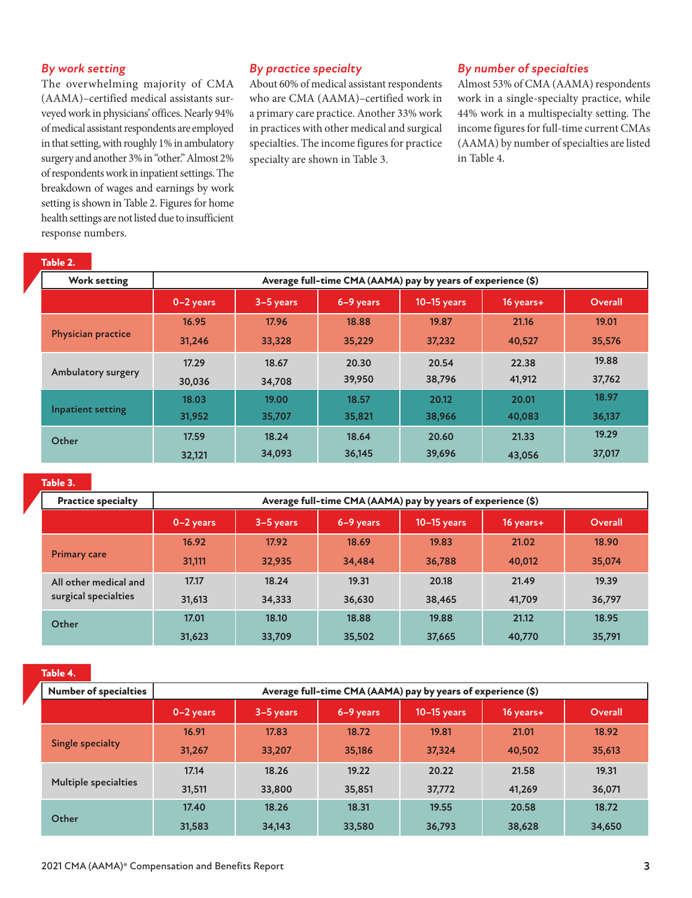#### *By work setting*

The overwhelming majority of CMA (AAMA)–certified medical assistants surveyed work in physicians' offices. Nearly 94% of medical assistant respondents are employed in that setting, with roughly 1% in ambulatory surgery and another 3% in "other." Almost 2% of respondents work in inpatient settings. The breakdown of wages and earnings by work setting is shown in Table 2. Figures for home health settings are not listed due to insufficient response numbers.

#### *By practice specialty*

About 60% of medical assistant respondents who are CMA (AAMA)–certified work in a primary care practice. Another 33% work in practices with other medical and surgical specialties. The income figures for practice specialty are shown in Table 3.

#### *By number of specialties*

Almost 53% of CMA (AAMA) respondents work in a single-specialty practice, while 44% work in a multispecialty setting. The income figures for full-time current CMAs (AAMA) by number of specialties are listed in Table 4.

| Table 2.         |  |
|------------------|--|
| <b>Work sett</b> |  |

| <b>Work setting</b>       | Average full-time CMA (AAMA) pay by years of experience (\$) |             |           |               |             |         |
|---------------------------|--------------------------------------------------------------|-------------|-----------|---------------|-------------|---------|
|                           | $0-2$ years                                                  | $3-5$ years | 6-9 years | $10-15$ years | $16$ years+ | Overall |
| <b>Physician practice</b> | 16.95                                                        | 17.96       | 18.88     | 19.87         | 21.16       | 19.01   |
|                           | 31,246                                                       | 33,328      | 35,229    | 37,232        | 40,527      | 35,576  |
| Ambulatory surgery        | 17.29                                                        | 18.67       | 20.30     | 20.54         | 22.38       | 19.88   |
|                           | 30,036                                                       | 34,708      | 39,950    | 38,796        | 41,912      | 37,762  |
| Inpatient setting         | 18.03                                                        | 19.00       | 18.57     | 20.12         | 20.01       | 18.97   |
|                           | 31,952                                                       | 35,707      | 35,821    | 38,966        | 40,083      | 36,137  |
| Other                     | 17.59                                                        | 18.24       | 18.64     | 20.60         | 21.33       | 19.29   |
|                           | 32,121                                                       | 34,093      | 36,145    | 39,696        | 43,056      | 37,017  |

#### **Table 3.**

| <b>Practice specialty</b>                     | Average full-time CMA (AAMA) pay by years of experience (\$) |             |           |               |           |         |
|-----------------------------------------------|--------------------------------------------------------------|-------------|-----------|---------------|-----------|---------|
|                                               | 0-2 years                                                    | $3-5$ years | 6-9 years | $10-15$ years | 16 years+ | Overall |
| <b>Primary care</b>                           | 16.92                                                        | 17.92       | 18.69     | 19.83         | 21.02     | 18.90   |
|                                               | 31,111                                                       | 32.935      | 34,484    | 36,788        | 40,012    | 35,074  |
| All other medical and<br>surgical specialties | 17.17                                                        | 18.24       | 19.31     | 20.18         | 21.49     | 19.39   |
|                                               | 31,613                                                       | 34,333      | 36,630    | 38,465        | 41,709    | 36,797  |
| Other                                         | 17.01                                                        | 18.10       | 18.88     | 19.88         | 21.12     | 18.95   |
|                                               | 31,623                                                       | 33,709      | 35,502    | 37,665        | 40,770    | 35,791  |

**Table 4.**

| <b>Number of specialties</b> | Average full-time CMA (AAMA) pay by years of experience (\$) |             |           |             |           |         |
|------------------------------|--------------------------------------------------------------|-------------|-----------|-------------|-----------|---------|
|                              | $0-2$ years                                                  | $3-5$ years | 6-9 years | 10-15 years | 16 years+ | Overall |
| <b>Single specialty</b>      | 16.91                                                        | 17.83       | 18.72     | 19.81       | 21.01     | 18.92   |
|                              | 31,267                                                       | 33,207      | 35,186    | 37,324      | 40,502    | 35,613  |
| <b>Multiple specialties</b>  | 17.14                                                        | 18.26       | 19.22     | 20.22       | 21.58     | 19.31   |
|                              | 31,511                                                       | 33,800      | 35,851    | 37,772      | 41,269    | 36,071  |
| Other                        | 17.40                                                        | 18.26       | 18.31     | 19.55       | 20.58     | 18.72   |
|                              | 31,583                                                       | 34,143      | 33,580    | 36,793      | 38,628    | 34,650  |